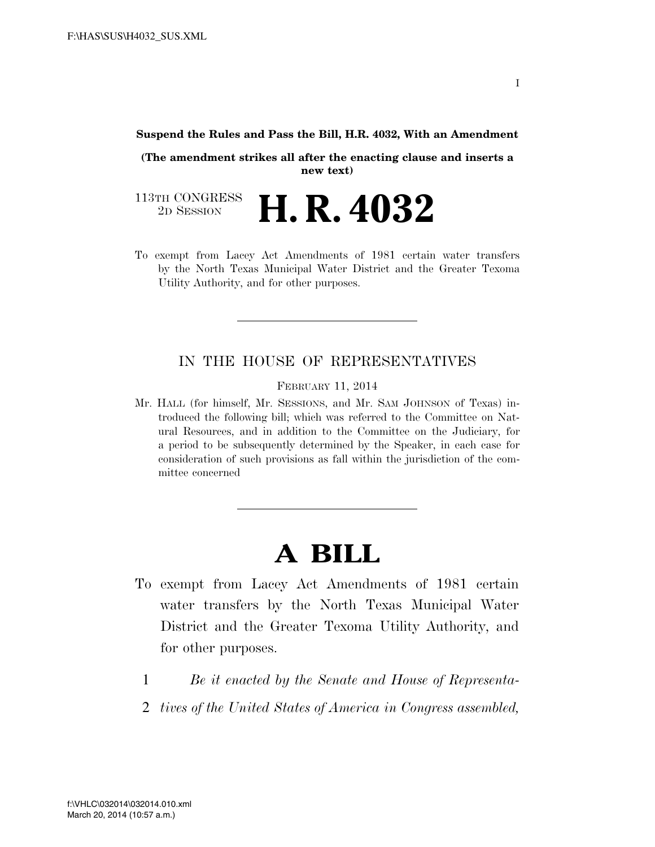#### **Suspend the Rules and Pass the Bill, H.R. 4032, With an Amendment**

**(The amendment strikes all after the enacting clause and inserts a new text)** 

113TH CONGRESS<br>2D SESSION 2D SESSION **H. R. 4032**

To exempt from Lacey Act Amendments of 1981 certain water transfers by the North Texas Municipal Water District and the Greater Texoma Utility Authority, and for other purposes.

### IN THE HOUSE OF REPRESENTATIVES

FEBRUARY 11, 2014

Mr. HALL (for himself, Mr. SESSIONS, and Mr. SAM JOHNSON of Texas) introduced the following bill; which was referred to the Committee on Natural Resources, and in addition to the Committee on the Judiciary, for a period to be subsequently determined by the Speaker, in each case for consideration of such provisions as fall within the jurisdiction of the committee concerned

# **A BILL**

- To exempt from Lacey Act Amendments of 1981 certain water transfers by the North Texas Municipal Water District and the Greater Texoma Utility Authority, and for other purposes.
	- 1 *Be it enacted by the Senate and House of Representa-*
	- 2 *tives of the United States of America in Congress assembled,*